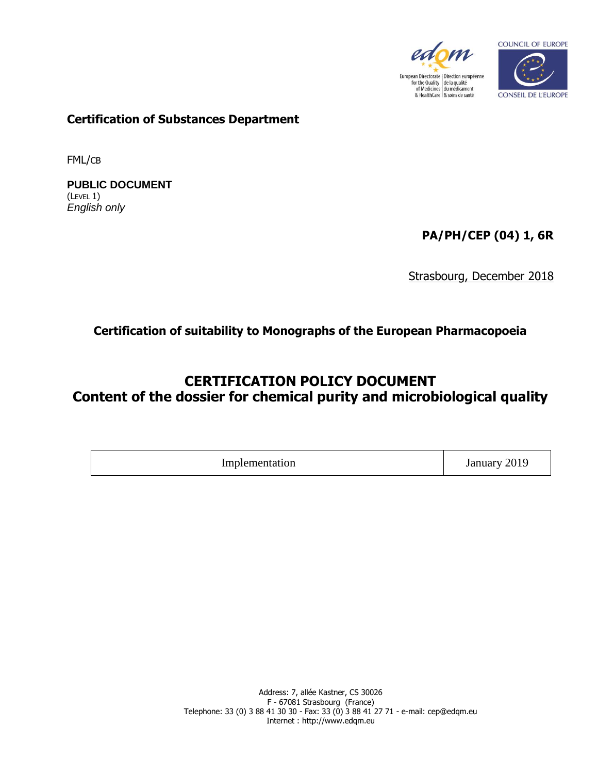



**Certification of Substances Department**

FML/CB

**PUBLIC DOCUMENT** (LEVEL 1) *English only*

**PA/PH/CEP (04) 1, 6R**

Strasbourg, December 2018

## **Certification of suitability to Monographs of the European Pharmacopoeia**

# **CERTIFICATION POLICY DOCUMENT Content of the dossier for chemical purity and microbiological quality**

| າ∩1∩<br>Implemen<br>January<br>tion<br><b>2019</b><br>- 9200-<br>$- - -$<br>. |  |  |
|-------------------------------------------------------------------------------|--|--|
|-------------------------------------------------------------------------------|--|--|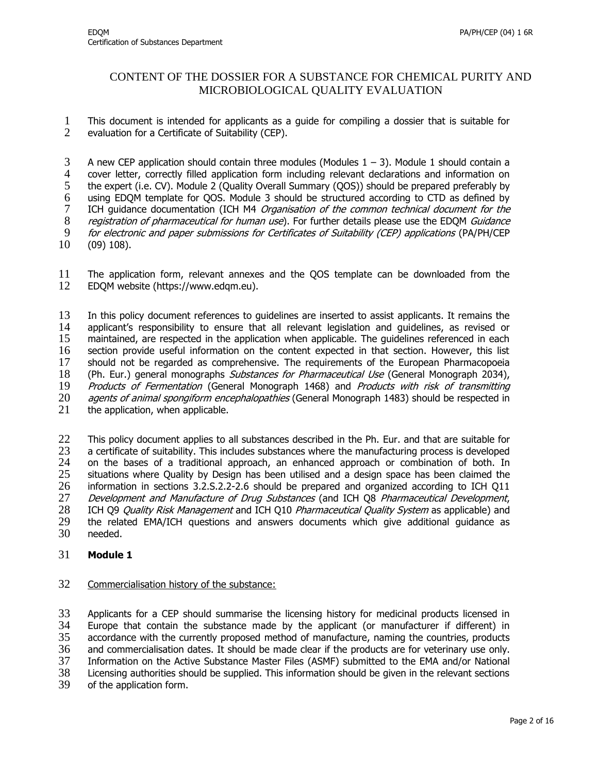## CONTENT OF THE DOSSIER FOR A SUBSTANCE FOR CHEMICAL PURITY AND MICROBIOLOGICAL QUALITY EVALUATION

1 This document is intended for applicants as a guide for compiling a dossier that is suitable for 2 evaluation for a Certificate of Suitability (CEP).

3 A new CEP application should contain three modules (Modules  $1 - 3$ ). Module 1 should contain a 4 cover letter, correctly filled application form including relevant declarations and information on<br>5 the expert (i.e. CV). Module 2 (Quality Overall Summary (QOS)) should be prepared preferably by 5 the expert (i.e. CV). Module 2 (Quality Overall Summary (QOS)) should be prepared preferably by 6 using EDQM template for QOS. Module 3 should be structured according to CTD as defined by<br>7 ICH guidance documentation (ICH M4 *Organisation of the common technical document for the* ICH guidance documentation (ICH M4 Organisation of the common technical document for the 8 registration of pharmaceutical for human use). For further details please use the EDQM Guidance 9 for electronic and paper submissions for Certificates of Suitability (CEP) applications (PA/PH/CEP<br>10 (09) 108).  $(09)$  108).

11 The application form, relevant annexes and the QOS template can be downloaded from the 12 EDOM website (https://www.edgm.eu). 12 EDQM website (https://www.edqm.eu).

13 In this policy document references to guidelines are inserted to assist applicants. It remains the 14 applicant's responsibility to ensure that all relevant legislation and guidelines, as revised or<br>15 maintained, are respected in the application when applicable. The quidelines referenced in each maintained, are respected in the application when applicable. The guidelines referenced in each 16 section provide useful information on the content expected in that section. However, this list 17 should not be regarded as comprehensive. The requirements of the European Pharmacopoeia 18 (Ph. Eur.) general monographs *Substances for Pharmaceutical Use* (General Monograph 2034), 19 Products of Fermentation (General Monograph 1468) and Products with risk of transmitting<br>20 agents of animal spongiform encephalopathies (General Monograph 1483) should be respected in 20 *agents of animal spongiform encephalopathies* (General Monograph 1483) should be respected in<br>21 the application, when applicable. the application, when applicable.

22 This policy document applies to all substances described in the Ph. Eur. and that are suitable for  $23$  a certificate of suitability. This includes substances where the manufacturing process is developed 23 a certificate of suitability. This includes substances where the manufacturing process is developed<br>24 on the bases of a traditional approach, an enhanced approach or combination of both. In 24 on the bases of a traditional approach, an enhanced approach or combination of both. In<br>25 situations where Quality by Design has been utilised and a design space has been claimed the situations where Quality by Design has been utilised and a design space has been claimed the 26 information in sections 3.2.S.2.2-2.6 should be prepared and organized according to ICH Q11 27 Development and Manufacture of Drug Substances (and ICH Q8 Pharmaceutical Development, 28 ICH Q9 *Quality Risk Management* and ICH Q10 *Pharmaceutical Quality System* as applicable) and<br>29 the related EMA/ICH questions and answers documents which give additional guidance as 29 the related EMA/ICH questions and answers documents which give additional guidance as 30 needed. needed.

#### 31 **Module 1**

#### 32 Commercialisation history of the substance:

 Applicants for a CEP should summarise the licensing history for medicinal products licensed in Europe that contain the substance made by the applicant (or manufacturer if different) in accordance with the currently proposed method of manufacture, naming the countries, products and commercialisation dates. It should be made clear if the products are for veterinary use only. Information on the Active Substance Master Files (ASMF) submitted to the EMA and/or National Licensing authorities should be supplied. This information should be given in the relevant sections of the application form.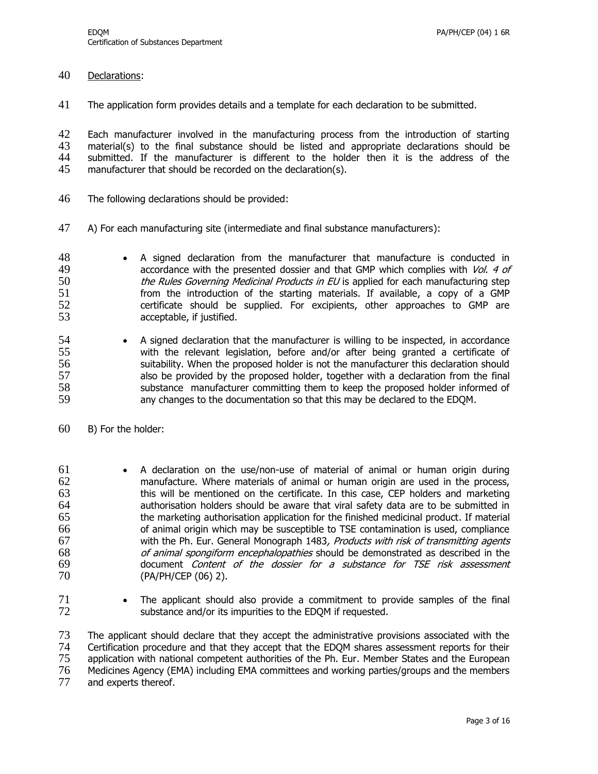40 Declarations:

41 The application form provides details and a template for each declaration to be submitted.

42 Each manufacturer involved in the manufacturing process from the introduction of starting<br>43 material(s) to the final substance should be listed and appropriate declarations should be material(s) to the final substance should be listed and appropriate declarations should be 44 submitted. If the manufacturer is different to the holder then it is the address of the 45 manufacturer that should be recorded on the declaration(s). manufacturer that should be recorded on the declaration(s).

- 46 The following declarations should be provided:
- 47 A) For each manufacturing site (intermediate and final substance manufacturers):

48 • A signed declaration from the manufacturer that manufacture is conducted in 49 accordance with the presented dossier and that GMP which complies with Vol. 4 of 50 the Rules Governing Medicinal Products in EU is applied for each manufacturing step 51 from the introduction of the starting materials. If available, a copy of a GMP<br>52 feertificate should be supplied. For excipients, other approaches to GMP are 52 certificate should be supplied. For excipients, other approaches to GMP are acceptable, if justified. acceptable, if justified.

- 54 A signed declaration that the manufacturer is willing to be inspected, in accordance 55 with the relevant legislation, before and/or after being granted a certificate of 56 suitability. When the proposed holder is not the manufacturer this declaration should 57 also be provided by the proposed holder, together with a declaration from the final 58 substance manufacturer committing them to keep the proposed holder informed of 59 any changes to the documentation so that this may be declared to the EDQM.
- 60 B) For the holder:

61 A declaration on the use/non-use of material of animal or human origin during 62 manufacture. Where materials of animal or human origin are used in the process, 63 this will be mentioned on the certificate. In this case, CEP holders and marketing<br>64 authorisation holders should be aware that viral safety data are to be submitted in authorisation holders should be aware that viral safety data are to be submitted in 65 the marketing authorisation application for the finished medicinal product. If material 66 of animal origin which may be susceptible to TSE contamination is used, compliance 67 with the Ph. Eur. General Monograph 1483, Products with risk of transmitting agents 68 of animal spongiform encephalopathies should be demonstrated as described in the<br>69 occument *Content of the dossier for a substance for TSE risk assessment* 69 document *Content of the dossier for a substance for TSE risk assessment*<br>70 (PA/PH/CEP (06) 2). 70 (PA/PH/CEP (06) 2).

71 The applicant should also provide a commitment to provide samples of the final 72 substance and/or its impurities to the EDQM if requested.

 The applicant should declare that they accept the administrative provisions associated with the Certification procedure and that they accept that the EDQM shares assessment reports for their application with national competent authorities of the Ph. Eur. Member States and the European Medicines Agency (EMA) including EMA committees and working parties/groups and the members and experts thereof.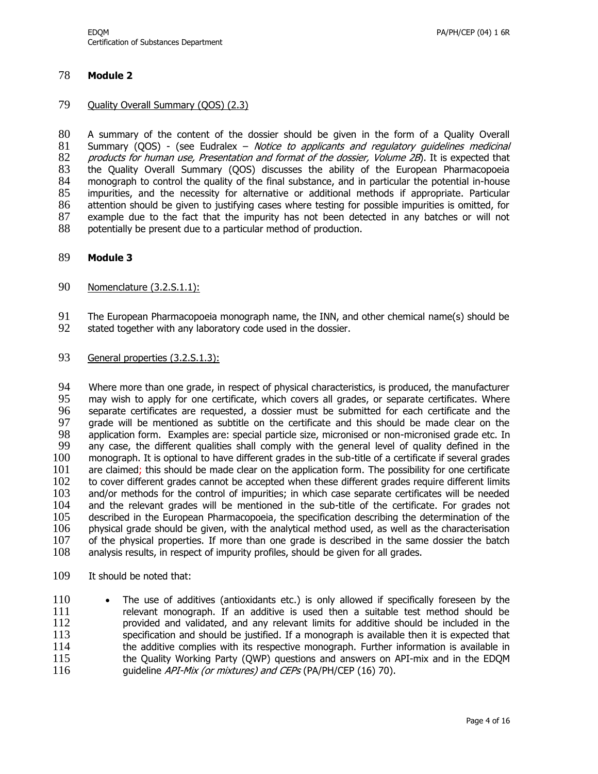#### 78 **Module 2**

#### 79 Quality Overall Summary (QOS) (2.3)

80 A summary of the content of the dossier should be given in the form of a Quality Overall 81 Summary (QOS) - (see Eudralex - Notice to applicants and regulatory quidelines medicinal 81 Summary (QOS) - (see Eudralex – Notice to applicants and regulatory guidelines medicinal 82 products for human use, Presentation and format of the dossier, Volume 2B). It is expected that 82 products for human use, Presentation and format of the dossier, Volume 2B). It is expected that 83 the Ouality Overall Summary (OOS) discusses the ability of the European Pharmacopoeia 83 the Quality Overall Summary (QOS) discusses the ability of the European Pharmacopoeia 84 monograph to control the quality of the final substance, and in particular the potential in-house<br>85 impurities, and the necessity for alternative or additional methods if appropriate. Particular impurities, and the necessity for alternative or additional methods if appropriate. Particular 86 attention should be given to justifying cases where testing for possible impurities is omitted, for 87 example due to the fact that the impurity has not been detected in any batches or will not 88 potentially be present due to a particular method of production.

- 89 **Module 3**
- 90 Nomenclature (3.2.S.1.1):
- 91 The European Pharmacopoeia monograph name, the INN, and other chemical name(s) should be <br>92 stated together with any laboratory code used in the dossier.
- stated together with any laboratory code used in the dossier.
- 93 General properties (3.2.S.1.3):

94 Where more than one grade, in respect of physical characteristics, is produced, the manufacturer<br>95 may wish to apply for one certificate, which covers all grades, or separate certificates. Where may wish to apply for one certificate, which covers all grades, or separate certificates. Where 96 separate certificates are requested, a dossier must be submitted for each certificate and the<br>97 arade will be mentioned as subtitle on the certificate and this should be made clear on the grade will be mentioned as subtitle on the certificate and this should be made clear on the 98 application form. Examples are: special particle size, micronised or non-micronised grade etc. In<br>99 any case, the different qualities shall comply with the general level of quality defined in the any case, the different qualities shall comply with the general level of quality defined in the 100 monograph. It is optional to have different grades in the sub-title of a certificate if several grades 101 are claimed; this should be made clear on the application form. The possibility for one certificate 102 to cover different grades cannot be accepted when these different arades require different limits to cover different grades cannot be accepted when these different grades require different limits 103 and/or methods for the control of impurities; in which case separate certificates will be needed<br>104 and the relevant grades will be mentioned in the sub-title of the certificate. For grades not 104 and the relevant grades will be mentioned in the sub-title of the certificate. For grades not 105 described in the European Pharmacopoeia, the specification describing the determination of the 105 described in the European Pharmacopoeia, the specification describing the determination of the 106 physical grade should be given, with the analytical method used, as well as the characterisation 107 of the physical properties. If more than one grade is described in the same dossier the batch 108 analysis results, in respect of impurity profiles, should be given for all grades.

109 It should be noted that:

110 • The use of additives (antioxidants etc.) is only allowed if specifically foreseen by the 111 relevant monograph. If an additive is used then a suitable test method should be  $112$  reprovided and validated, and any relevant limits for additive should be included in the 112 provided and validated, and any relevant limits for additive should be included in the 113 specification and should be justified. If a monograph is available then it is expected that specification and should be justified. If a monograph is available then it is expected that 114 the additive complies with its respective monograph. Further information is available in 115 the Quality Working Party (QWP) questions and answers on API-mix and in the EDQM 116 guideline *API-Mix (or mixtures) and CEPs* (PA/PH/CEP (16) 70).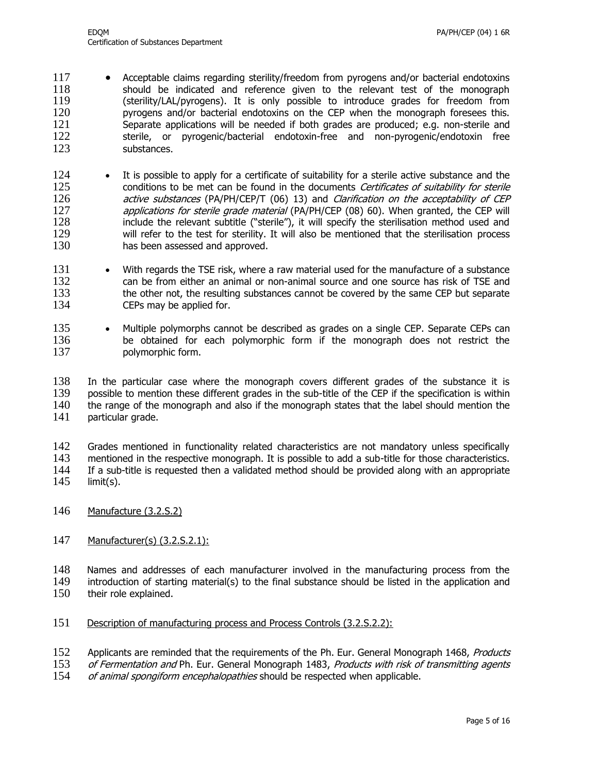- 117 Acceptable claims regarding sterility/freedom from pyrogens and/or bacterial endotoxins 118 should be indicated and reference given to the relevant test of the monograph 119 (sterility/LAL/pyrogens). It is only possible to introduce grades for freedom from 120 pyrogens and/or bacterial endotoxins on the CEP when the monograph foresees this.<br>121 Separate applications will be needed if both grades are produced; e.g. non-sterile and 121 Separate applications will be needed if both grades are produced; e.g. non-sterile and 122 sterile, or pyrogenic/bacterial endotoxin-free and non-pyrogenic/endotoxin free 122 sterile, or pyrogenic/bacterial endotoxin-free and non-pyrogenic/endotoxin free 123 substances.
- 124 It is possible to apply for a certificate of suitability for a sterile active substance and the 125 conditions to be met can be found in the documents *Certificates of suitability for sterile*<br>126 *active substances* (PA/PH/CEP/T (06) 13) and *Clarification on the acceptability of CEP* 126 active substances (PA/PH/CEP/T (06) 13) and *Clarification on the acceptability of CEP*<br>127 applications for sterile grade material (PA/PH/CEP (08) 60). When granted, the CEP will 127 applications for sterile grade material (PA/PH/CEP (08) 60). When granted, the CEP will<br>128 include the relevant subtitle ("sterile"), it will specify the sterilisation method used and include the relevant subtitle ("sterile"), it will specify the sterilisation method used and 129 will refer to the test for sterility. It will also be mentioned that the sterilisation process 130 has been assessed and approved.
- 131 With regards the TSE risk, where a raw material used for the manufacture of a substance 132 can be from either an animal or non-animal source and one source has risk of TSE and<br>133 the other not, the resulting substances cannot be covered by the same CEP but separate 133 the other not, the resulting substances cannot be covered by the same CEP but separate 134 CEPs may be applied for.
- 135 Multiple polymorphs cannot be described as grades on a single CEP. Separate CEPs can 136 be obtained for each polymorphic form if the monograph does not restrict the 137 polymorphic form.

 In the particular case where the monograph covers different grades of the substance it is possible to mention these different grades in the sub-title of the CEP if the specification is within the range of the monograph and also if the monograph states that the label should mention the particular grade.

142 Grades mentioned in functionality related characteristics are not mandatory unless specifically<br>143 mentioned in the respective monograph. It is possible to add a sub-title for those characteristics. 143 mentioned in the respective monograph. It is possible to add a sub-title for those characteristics.<br>144 If a sub-title is requested then a validated method should be provided along with an appropriate 144 If a sub-title is requested then a validated method should be provided along with an appropriate 145 limit(s).  $limit(s)$ .

- 146 Manufacture (3.2.S.2)
- 147 Manufacturer(s) (3.2.S.2.1):

148 Names and addresses of each manufacturer involved in the manufacturing process from the 149 introduction of starting material(s) to the final substance should be listed in the application and 150 their role explained.

151 Description of manufacturing process and Process Controls (3.2.S.2.2):

152 Applicants are reminded that the requirements of the Ph. Eur. General Monograph 1468, Products

153 of Fermentation and Ph. Eur. General Monograph 1483, Products with risk of transmitting agents 154 of animal spongiform encephalopathies should be respected when applicable.

of animal spongiform encephalopathies should be respected when applicable.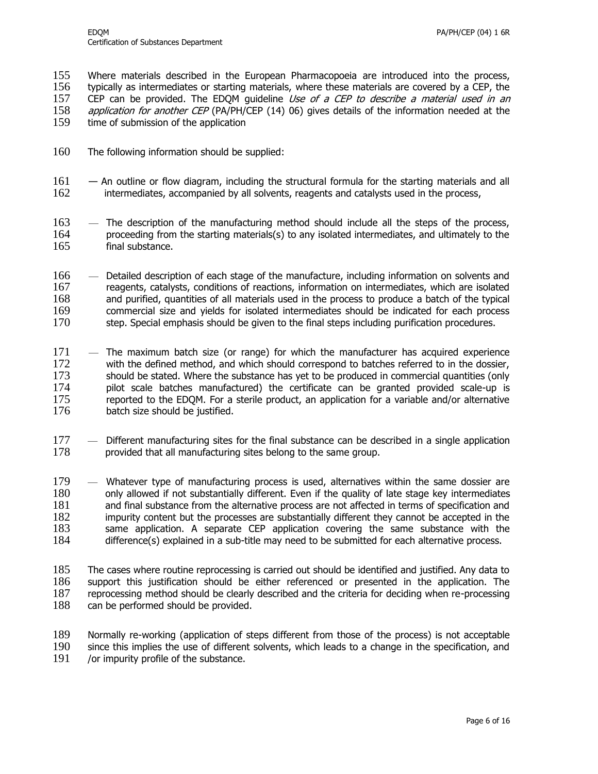155 Where materials described in the European Pharmacopoeia are introduced into the process, 156 typically as intermediates or starting materials, where these materials are covered by a CEP, the 157 CEP can be provided. The EDQM quideline Use of a CEP to describe a material used in an 158 *application for another CEP* (PA/PH/CEP (14) 06) gives details of the information needed at the 159 time of submission of the application time of submission of the application

- 160 The following information should be supplied:
- 161 An outline or flow diagram, including the structural formula for the starting materials and all 162 intermediates, accompanied by all solvents, reagents and catalysts used in the process,
- 163 The description of the manufacturing method should include all the steps of the process, 164 proceeding from the starting materials(s) to any isolated intermediates, and ultimately to the 165 final substance.
- 166 Detailed description of each stage of the manufacture, including information on solvents and 167 reagents, catalysts, conditions of reactions, information on intermediates, which are isolated 168 and purified, quantities of all materials used in the process to produce a batch of the typical 169 commercial size and yields for isolated intermediates should be indicated for each process 170 step. Special emphasis should be given to the final steps including purification procedures. step. Special emphasis should be given to the final steps including purification procedures.
- 171 The maximum batch size (or range) for which the manufacturer has acquired experience 172 with the defined method, and which should correspond to batches referred to in the dossier, 173 should be stated. Where the substance has yet to be produced in commercial quantities (only 174 pilot scale batches manufactured) the certificate can be granted provided scale-up is 175 reported to the EDQM. For a sterile product, an application for a variable and/or alternative 176 batch size should be justified.
- 177 Different manufacturing sites for the final substance can be described in a single application 178 provided that all manufacturing sites belong to the same group. provided that all manufacturing sites belong to the same group.
- 179 Whatever type of manufacturing process is used, alternatives within the same dossier are 180 only allowed if not substantially different. Even if the quality of late stage key intermediates 181 and final substance from the alternative process are not affected in terms of specification and 181 and final substance from the alternative process are not affected in terms of specification and 182 impurity content but the processes are substantially different they cannot be accepted in the 182 impurity content but the processes are substantially different they cannot be accepted in the<br>183 same application. A separate CEP application covering the same substance with the same application. A separate CEP application covering the same substance with the 184 difference(s) explained in a sub-title may need to be submitted for each alternative process.
- 185 The cases where routine reprocessing is carried out should be identified and justified. Any data to 186 support this justification should be either referenced or presented in the application. The 187 reprocessing method should be clearly described and the criteria for deciding when re-processing 187 reprocessing method should be clearly described and the criteria for deciding when re-processing 188 can be performed should be provided. can be performed should be provided.
- 189 Normally re-working (application of steps different from those of the process) is not acceptable 190 since this implies the use of different solvents, which leads to a change in the specification, and since this implies the use of different solvents, which leads to a change in the specification, and 191 /or impurity profile of the substance.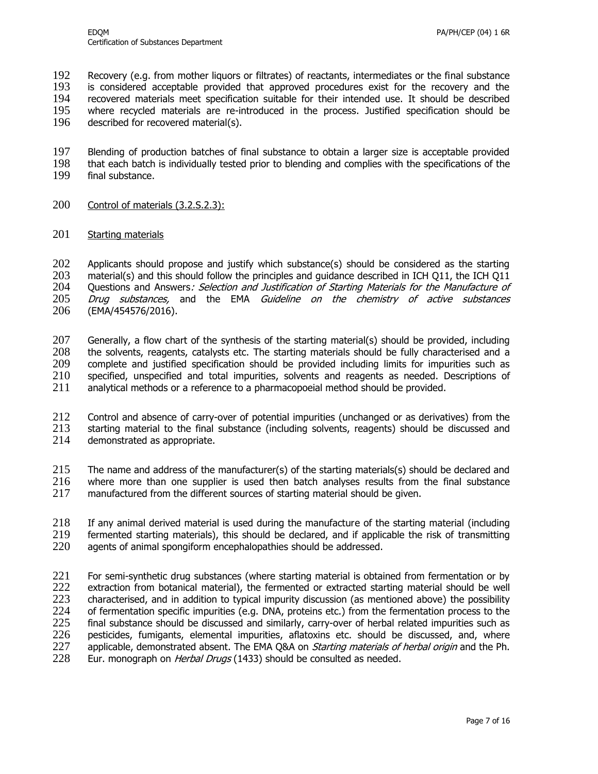192 Recovery (e.g. from mother liquors or filtrates) of reactants, intermediates or the final substance<br>193 is considered acceptable provided that approved procedures exist for the recovery and the is considered acceptable provided that approved procedures exist for the recovery and the 194 recovered materials meet specification suitable for their intended use. It should be described<br>195 where recycled materials are re-introduced in the process. Justified specification should be 195 where recycled materials are re-introduced in the process. Justified specification should be  $196$  described for recovered material(s). described for recovered material(s).

197 Blending of production batches of final substance to obtain a larger size is acceptable provided<br>198 that each batch is individually tested prior to blending and complies with the specifications of the that each batch is individually tested prior to blending and complies with the specifications of the 199 final substance.

- 
- 200 Control of materials (3.2.S.2.3):
- 201 Starting materials

202 Applicants should propose and justify which substance(s) should be considered as the starting 203 material(s) and this should follow the principles and guidance described in ICH Q11, the ICH Q11 204 Questions and Answers*: Selection and Justification of Starting Materials for the Manufacture of*<br>205 Drug substances, and the EMA Guideline on the chemistry of active substances Drug substances, and the EMA Guideline on the chemistry of active substances 206 (EMA/454576/2016).

207 Generally, a flow chart of the synthesis of the starting material(s) should be provided, including 208 the solvents, reagents, catalysts etc. The starting materials should be fully characterised and a the solvents, reagents, catalysts etc. The starting materials should be fully characterised and a 209 complete and justified specification should be provided including limits for impurities such as 210 specified, unspecified and total impurities, solvents and reagents as needed. Descriptions of 211 analytical methods or a reference to a pharmacopoeial method should be provided.

212 Control and absence of carry-over of potential impurities (unchanged or as derivatives) from the 213 starting material to the final substance (including solvents, reagents) should be discussed and 214 demonstrated as appropriate.

215 The name and address of the manufacturer(s) of the starting materials(s) should be declared and 216 where more than one supplier is used then batch analyses results from the final substance 217 manufactured from the different sources of starting material should be given.

218 If any animal derived material is used during the manufacture of the starting material (including 219 fermented starting materials). this should be declared, and if applicable the risk of transmitting 219 fermented starting materials), this should be declared, and if applicable the risk of transmitting 220 agents of animal spongiform encephalopathies should be addressed. agents of animal spongiform encephalopathies should be addressed.

221 For semi-synthetic drug substances (where starting material is obtained from fermentation or by<br>222 extraction from botanical material), the fermented or extracted starting material should be well extraction from botanical material), the fermented or extracted starting material should be well 223 characterised, and in addition to typical impurity discussion (as mentioned above) the possibility 224 of fermentation specific impurities (e.g. DNA, proteins etc.) from the fermentation process to the 225 final substance should be discussed and similarly, carry-over of herbal related impurities such as 225 final substance should be discussed and similarly, carry-over of herbal related impurities such as 226 pesticides, fumigants, elemental impurities, aflatoxins etc. should be discussed, and, where 226 pesticides, fumigants, elemental impurities, aflatoxins etc. should be discussed, and, where 227 applicable, demonstrated absent. The EMA O&A on *Startina materials of herbal origin* and the Ph. 227 applicable, demonstrated absent. The EMA Q&A on *Starting materials of herbal origin* and the Ph.<br>228 Eur. monograph on *Herbal Drugs* (1433) should be consulted as needed. Eur. monograph on *Herbal Drugs* (1433) should be consulted as needed.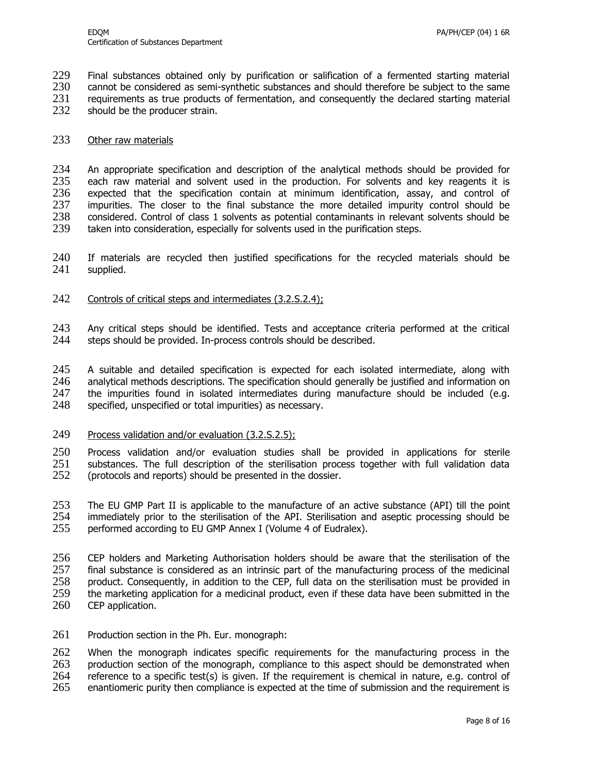229 Final substances obtained only by purification or salification of a fermented starting material<br>230 cannot be considered as semi-synthetic substances and should therefore be subiect to the same cannot be considered as semi-synthetic substances and should therefore be subject to the same

231 requirements as true products of fermentation, and consequently the declared starting material 232 should be the producer strain.

should be the producer strain.

#### 233 Other raw materials

234 An appropriate specification and description of the analytical methods should be provided for 235 each raw material and solvent used in the production. For solvents and key reagents it is 235 each raw material and solvent used in the production. For solvents and key reagents it is 236 expected that the specification contain at minimum identification, assay, and control of 236 expected that the specification contain at minimum identification, assay, and control of 237 impurities. The closer to the final substance the more detailed impurity control should be 237 impurities. The closer to the final substance the more detailed impurity control should be 238 considered. Control of class 1 solvents as potential contaminants in relevant solvents should be considered. Control of class 1 solvents as potential contaminants in relevant solvents should be 239 taken into consideration, especially for solvents used in the purification steps.

- 240 If materials are recycled then justified specifications for the recycled materials should be 241 supplied.
- 242 Controls of critical steps and intermediates (3.2.S.2.4);
- 243 Any critical steps should be identified. Tests and acceptance criteria performed at the critical steps should be provided. In-process controls should be described. steps should be provided. In-process controls should be described.

245 A suitable and detailed specification is expected for each isolated intermediate, along with 246 analytical methods descriptions. The specification should generally be justified and information on analytical methods descriptions. The specification should generally be justified and information on 247 the impurities found in isolated intermediates during manufacture should be included (e.g. 248 specified, unspecified or total impurities) as necessary.

249 Process validation and/or evaluation (3.2.S.2.5);

250 Process validation and/or evaluation studies shall be provided in applications for sterile 251 substances. The full description of the sterilisation process together with full validation data  $252$  (protocols and reports) should be presented in the dossier. (protocols and reports) should be presented in the dossier.

253 The EU GMP Part II is applicable to the manufacture of an active substance (API) till the point 254 immediately prior to the sterilisation of the API. Sterilisation and aseptic processing should be 254 immediately prior to the sterilisation of the API. Sterilisation and aseptic processing should be 255 performed according to EU GMP Annex I (Volume 4 of Eudralex). performed according to EU GMP Annex I (Volume 4 of Eudralex).

 CEP holders and Marketing Authorisation holders should be aware that the sterilisation of the final substance is considered as an intrinsic part of the manufacturing process of the medicinal product. Consequently, in addition to the CEP, full data on the sterilisation must be provided in the marketing application for a medicinal product, even if these data have been submitted in the 260 CEP application.

261 Production section in the Ph. Eur. monograph:

262 When the monograph indicates specific requirements for the manufacturing process in the 263 production section of the monograph, compliance to this aspect should be demonstrated when 264 reference to a specific test(s) is given. If the requirement is chemical in nature, e.g. control of 265 enantiomeric purity then compliance is expected at the time of submission and the requirement is enantiomeric purity then compliance is expected at the time of submission and the requirement is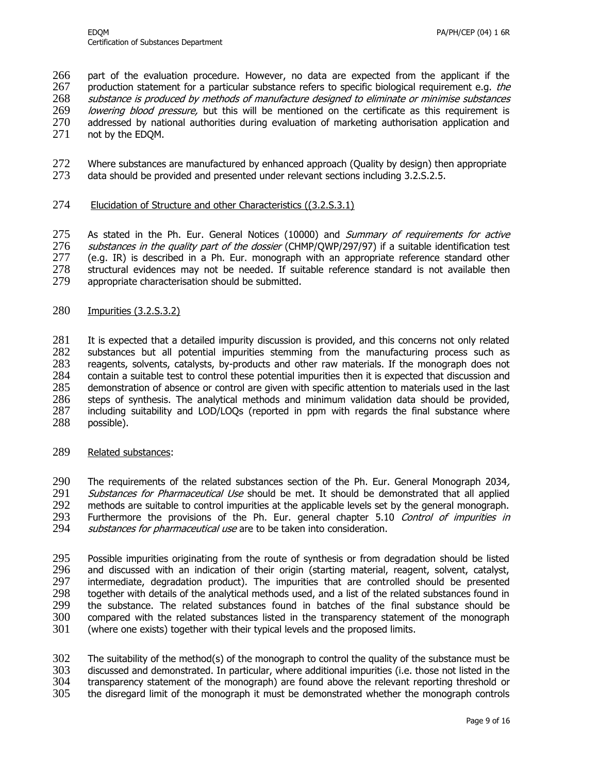part of the evaluation procedure. However, no data are expected from the applicant if the production statement for a particular substance refers to specific biological requirement e.g. *the*  substance is produced by methods of manufacture designed to eliminate or minimise substances *lowering blood pressure,* but this will be mentioned on the certificate as this requirement is 270 addressed by national authorities during evaluation of marketing authorisation application and 270 addressed by national authorities during evaluation of marketing authorisation application and 271 not by the EDOM. not by the EDOM.

- 272 Where substances are manufactured by enhanced approach (Quality by design) then appropriate 273 data should be provided and presented under relevant sections including 3.2.S.2.5.
- 274 Elucidation of Structure and other Characteristics ((3.2.S.3.1)

275 As stated in the Ph. Eur. General Notices (10000) and Summary of requirements for active 276 *substances in the quality part of the dossier* (CHMP/QWP/297/97) if a suitable identification test 277 (e.g. IR) is described in a Ph. Eur. monograph with an appropriate reference standard other (e.g. IR) is described in a Ph. Eur. monograph with an appropriate reference standard other 278 structural evidences may not be needed. If suitable reference standard is not available then  $279$  appropriate characterisation should be submitted. appropriate characterisation should be submitted.

280 Impurities (3.2.S.3.2)

 It is expected that a detailed impurity discussion is provided, and this concerns not only related substances but all potential impurities stemming from the manufacturing process such as reagents, solvents, catalysts, by-products and other raw materials. If the monograph does not contain a suitable test to control these potential impurities then it is expected that discussion and demonstration of absence or control are given with specific attention to materials used in the last steps of synthesis. The analytical methods and minimum validation data should be provided, including suitability and LOD/LOQs (reported in ppm with regards the final substance where possible).

289 Related substances:

290 The requirements of the related substances section of the Ph. Eur. General Monograph 2034, 291 Substances for Pharmaceutical Use should be met. It should be demonstrated that all applied<br>292 methods are suitable to control impurities at the applicable levels set by the general monograph. 292 methods are suitable to control impurities at the applicable levels set by the general monograph.<br>293 Furthermore the provisions of the Ph. Eur. general chapter 5.10 Control of impurities in 293 Furthermore the provisions of the Ph. Eur. general chapter 5.10 *Control of impurities in*<br>294 *substances for pharmaceutical use* are to be taken into consideration. substances for pharmaceutical use are to be taken into consideration.

295 Possible impurities originating from the route of synthesis or from degradation should be listed 296 and discussed with an indication of their origin (starting material, reagent, solvent, catalyst, 297 intermediate, degradation product). The impurities that are controlled should be presented intermediate, degradation product). The impurities that are controlled should be presented 298 together with details of the analytical methods used, and a list of the related substances found in 299 the substance. The related substances found in batches of the final substance should be the substance. The related substances found in batches of the final substance should be 300 compared with the related substances listed in the transparency statement of the monograph 301 (where one exists) together with their typical levels and the proposed limits. (where one exists) together with their typical levels and the proposed limits.

302 The suitability of the method(s) of the monograph to control the quality of the substance must be 303 discussed and demonstrated. In particular, where additional impurities (i.e. those not listed in the discussed and demonstrated. In particular, where additional impurities (i.e. those not listed in the 304 transparency statement of the monograph) are found above the relevant reporting threshold or 305 the disregard limit of the monograph it must be demonstrated whether the monograph controls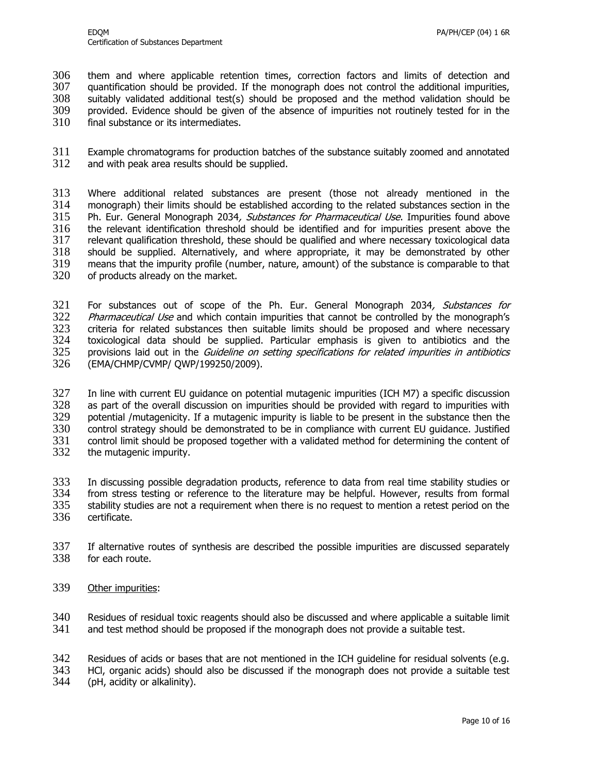306 them and where applicable retention times, correction factors and limits of detection and 307 quantification should be provided. If the monograph does not control the additional impurities, 308 suitably validated additional test(s) should be proposed and the method validation should be 309 provided. Evidence should be given of the absence of impurities not routinely tested for in the 310 final substance or its intermediates. final substance or its intermediates.

311 Example chromatograms for production batches of the substance suitably zoomed and annotated<br>312 and with peak area results should be supplied. and with peak area results should be supplied.

 Where additional related substances are present (those not already mentioned in the monograph) their limits should be established according to the related substances section in the 315 Ph. Eur. General Monograph 2034, Substances for Pharmaceutical Use. Impurities found above the relevant identification threshold should be identified and for impurities present above the relevant qualification threshold, these should be qualified and where necessary toxicological data 318 should be supplied. Alternatively, and where appropriate, it may be demonstrated by other 319 means that the impurity profile (number, nature, amount) of the substance is comparable to that means that the impurity profile (number, nature, amount) of the substance is comparable to that  $320$  of products already on the market. of products already on the market.

321 For substances out of scope of the Ph. Eur. General Monograph 2034, Substances for<br>322 Pharmaceutical Use and which contain impurities that cannot be controlled by the monograph's Pharmaceutical Use and which contain impurities that cannot be controlled by the monograph's 323 criteria for related substances then suitable limits should be proposed and where necessary 324 toxicological data should be supplied. Particular emphasis is given to antibiotics and the 325 provisions laid out in the *Guideline on setting specifications for related impurities in antibiotics* 326 (EMA/CHMP/CVMP/ QWP/199250/2009).

327 In line with current EU guidance on potential mutagenic impurities (ICH M7) a specific discussion 328 as part of the overall discussion on impurities should be provided with regard to impurities with 329 potential /mutagenicity. If a mutagenic impurity is liable to be present in the substance then the 329 potential /mutagenicity. If a mutagenic impurity is liable to be present in the substance then the 330 control strategy should be demonstrated to be in compliance with current EU guidance. Justified<br>331 control limit should be proposed together with a validated method for determining the content of 331 control limit should be proposed together with a validated method for determining the content of 332 the mutagenic impurity. the mutagenic impurity.

 In discussing possible degradation products, reference to data from real time stability studies or from stress testing or reference to the literature may be helpful. However, results from formal stability studies are not a requirement when there is no request to mention a retest period on the certificate.

- 337 If alternative routes of synthesis are described the possible impurities are discussed separately 338 for each route.
- 339 Other impurities:

340 Residues of residual toxic reagents should also be discussed and where applicable a suitable limit 341 and test method should be proposed if the monograph does not provide a suitable test. and test method should be proposed if the monograph does not provide a suitable test.

342 Residues of acids or bases that are not mentioned in the ICH guideline for residual solvents (e.g. 343 HCL organic acids) should also be discussed if the monograph does not provide a suitable test

343 HCl, organic acids) should also be discussed if the monograph does not provide a suitable test

344 (pH, acidity or alkalinity).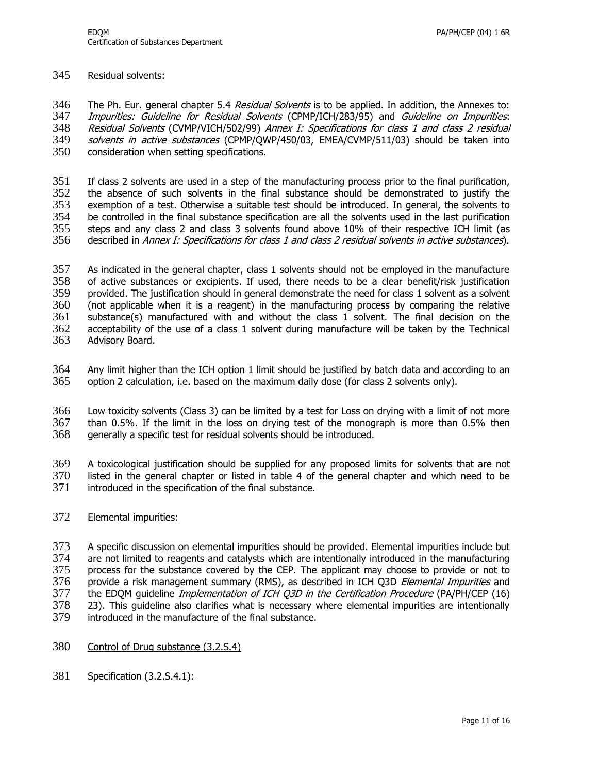#### 345 Residual solvents:

346 The Ph. Eur. general chapter 5.4 Residual Solvents is to be applied. In addition, the Annexes to: 347 Impurities: Guideline for Residual Solvents (CPMP/ICH/283/95) and Guideline on Impurities:<br>348 Residual Solvents (CVMP/VICH/502/99) Annex I: Specifications for class 1 and class 2 residual 348 Residual Solvents (CVMP/VICH/502/99) Annex I: Specifications for class 1 and class 2 residual<br>349 solvents in active substances (CPMP/QWP/450/03, EMEA/CVMP/511/03) should be taken into 349 *solvents in active substances* (CPMP/QWP/450/03, EMEA/CVMP/511/03) should be taken into<br>350 consideration when setting specifications. consideration when setting specifications.

351 If class 2 solvents are used in a step of the manufacturing process prior to the final purification,<br>352 the absence of such solvents in the final substance should be demonstrated to justify the the absence of such solvents in the final substance should be demonstrated to justify the 353 exemption of a test. Otherwise a suitable test should be introduced. In general, the solvents to 354 be controlled in the final substance specification are all the solvents used in the last purification 355 steps and any class 2 and class 3 solvents found above 10% of their respective ICH limit (as 356 described in Annex I: Specifications for class 1 and class 2 residual solvents in active substances).

357 As indicated in the general chapter, class 1 solvents should not be employed in the manufacture<br>358 of active substances or excipients. If used, there needs to be a clear benefit/risk justification 358 of active substances or excipients. If used, there needs to be a clear benefit/risk justification<br>359 provided. The justification should in general demonstrate the need for class 1 solvent as a solvent provided. The justification should in general demonstrate the need for class 1 solvent as a solvent 360 (not applicable when it is a reagent) in the manufacturing process by comparing the relative<br>361 substance(s) manufactured with and without the class 1 solvent. The final decision on the  $substance(s)$  manufactured with and without the class 1 solvent. The final decision on the 362 acceptability of the use of a class 1 solvent during manufacture will be taken by the Technical 363 Advisory Board.

364 Any limit higher than the ICH option 1 limit should be justified by batch data and according to an 365 option 2 calculation, i.e. based on the maximum daily dose (for class 2 solvents only).

366 Low toxicity solvents (Class 3) can be limited by a test for Loss on drying with a limit of not more  $367$  than 0.5%. If the limit in the loss on drying test of the monograph is more than 0.5% then  $368$  generally a specific test for residual solvents should be introduced. generally a specific test for residual solvents should be introduced.

369 A toxicological justification should be supplied for any proposed limits for solvents that are not listed in the general chapter or listed in table 4 of the general chapter and which need to be 371 introduced in the specification of the final substance.

372 Elemental impurities:

373 A specific discussion on elemental impurities should be provided. Elemental impurities include but 374 are not limited to reagents and catalysts which are intentionally introduced in the manufacturing 375 process for the substance covered by the CEP. The applicant may choose to provide or not to 376 provide a risk management summary (RMS), as described in ICH Q3D Elemental Impurities and 377 the EDQM guideline *Implementation of ICH Q3D in the Certification Procedure* (PA/PH/CEP (16)<br>378 23). This quideline also clarifies what is necessary where elemental impurities are intentionally 23). This guideline also clarifies what is necessary where elemental impurities are intentionally 379 introduced in the manufacture of the final substance.

- 380 Control of Drug substance (3.2.S.4)
- 381 Specification (3.2.S.4.1):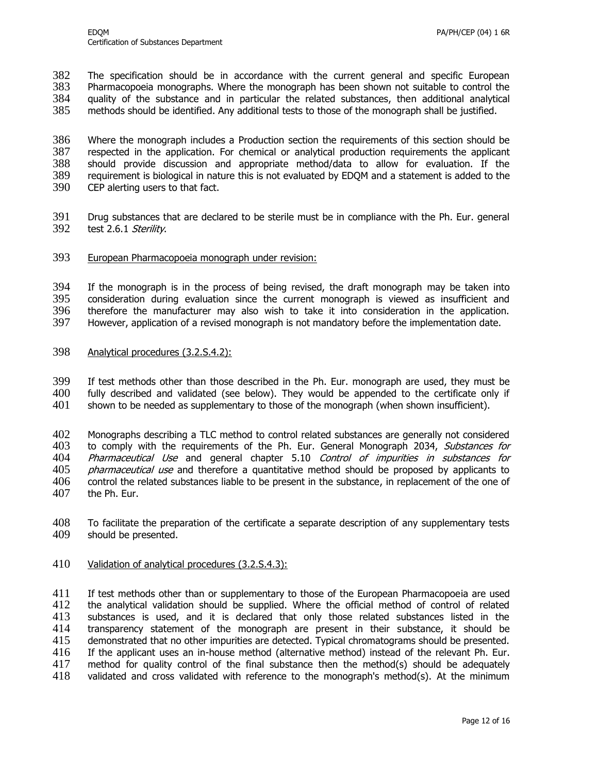382 The specification should be in accordance with the current general and specific European 383 Pharmacopoeia monographs. Where the monograph has been shown not suitable to control the 384 quality of the substance and in particular the related substances, then additional analytical 385 methods should be identified. Any additional tests to those of the monograph shall be justified. methods should be identified. Any additional tests to those of the monograph shall be justified.

386 Where the monograph includes a Production section the requirements of this section should be 387 respected in the application. For chemical or analytical production requirements the applicant 387 respected in the application. For chemical or analytical production requirements the applicant 388 should provide discussion and appropriate method/data to allow for evaluation. If the should provide discussion and appropriate method/data to allow for evaluation. If the 389 requirement is biological in nature this is not evaluated by EDQM and a statement is added to the 390 CEP alerting users to that fact.

- 391 Drug substances that are declared to be sterile must be in compliance with the Ph. Eur. general 392 test 2.6.1 Sterility.
- 393 European Pharmacopoeia monograph under revision:

394 If the monograph is in the process of being revised, the draft monograph may be taken into 395 consideration during evaluation since the current monograph is viewed as insufficient and consideration during evaluation since the current monograph is viewed as insufficient and 396 therefore the manufacturer may also wish to take it into consideration in the application.<br>397 However, application of a revised monograph is not mandatory before the implementation date. However, application of a revised monograph is not mandatory before the implementation date.

398 Analytical procedures (3.2.S.4.2):

399 If test methods other than those described in the Ph. Eur. monograph are used, they must be 400 fully described and validated (see below). They would be appended to the certificate only if 401 shown to be needed as supplementary to those of the monograph (when shown insufficient).

402 Monographs describing a TLC method to control related substances are generally not considered 403 to comply with the requirements of the Ph. Eur. General Monograph 2034, Substances for 404 Pharmaceutical Use and general chapter 5.10 Control of impurities in substances for<br>405 pharmaceutical use and therefore a quantitative method should be proposed by applicants to *pharmaceutical use* and therefore a quantitative method should be proposed by applicants to<br>406 control the related substances liable to be present in the substance, in replacement of the one of control the related substances liable to be present in the substance, in replacement of the one of 407 the Ph. Eur.

408 To facilitate the preparation of the certificate a separate description of any supplementary tests 409 should be presented. should be presented.

410 Validation of analytical procedures (3.2.S.4.3):

 If test methods other than or supplementary to those of the European Pharmacopoeia are used the analytical validation should be supplied. Where the official method of control of related substances is used, and it is declared that only those related substances listed in the 414 transparency statement of the monograph are present in their substance, it should be 415 demonstrated that no other impurities are detected. Typical chromatograms should be presented. demonstrated that no other impurities are detected. Typical chromatograms should be presented. If the applicant uses an in-house method (alternative method) instead of the relevant Ph. Eur. method for quality control of the final substance then the method(s) should be adequately validated and cross validated with reference to the monograph's method(s). At the minimum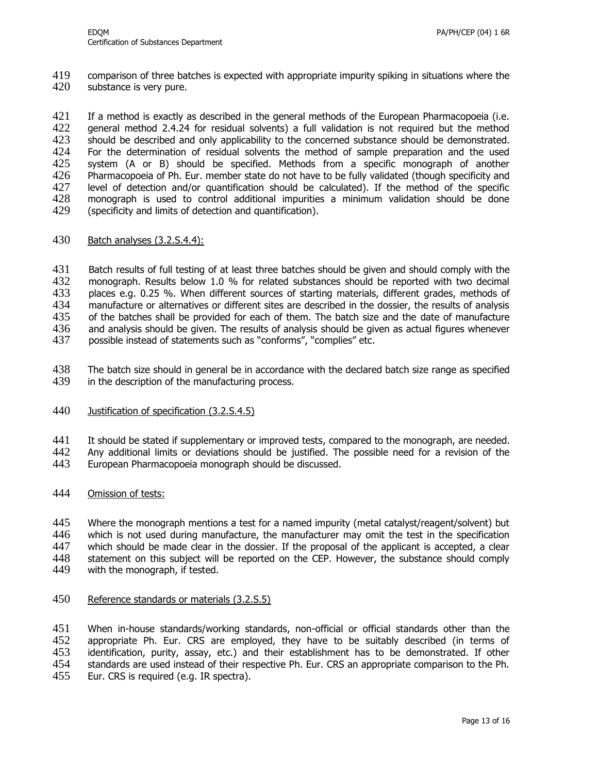419 comparison of three batches is expected with appropriate impurity spiking in situations where the 420 substance is very pure.

421 If a method is exactly as described in the general methods of the European Pharmacopoeia (i.e.<br>422 – general method 2.4.24 for residual solvents) a full validation is not required but the method 422 general method 2.4.24 for residual solvents) a full validation is not required but the method 423 should be described and only applicability to the concerned substance should be demonstrated. 423 should be described and only applicability to the concerned substance should be demonstrated.<br>424 For the determination of residual solvents the method of sample preparation and the used 424 For the determination of residual solvents the method of sample preparation and the used<br>425 system (A or B) should be specified. Methods from a specific monograph of another system (A or B) should be specified. Methods from a specific monograph of another 426 Pharmacopoeia of Ph. Eur. member state do not have to be fully validated (though specificity and 427 level of detection and/or quantification should be calculated). If the method of the specific 428 monograph is used to control additional impurities a minimum validation should be done 429 (specificity and limits of detection and quantification).

#### 430 Batch analyses (3.2.S.4.4):

431 Batch results of full testing of at least three batches should be given and should comply with the 432 monograph. Results below 1.0 % for related substances should be reported with two decimal 432 monograph. Results below 1.0 % for related substances should be reported with two decimal 433 places e.g. 0.25 %. When different sources of starting materials, different grades, methods of 434 manufacture or alternatives or different sites are described in the dossier, the results of analysis<br>435 of the batches shall be provided for each of them. The batch size and the date of manufacture of the batches shall be provided for each of them. The batch size and the date of manufacture 436 and analysis should be given. The results of analysis should be given as actual figures whenever 437 possible instead of statements such as "conforms", "complies" etc.

- 438 The batch size should in general be in accordance with the declared batch size range as specified 439 in the description of the manufacturing process.
- 440 Justification of specification (3.2.S.4.5)

441 It should be stated if supplementary or improved tests, compared to the monograph, are needed.<br>442 Any additional limits or deviations should be justified. The possible need for a revision of the

- 442 Any additional limits or deviations should be justified. The possible need for a revision of the 443 European Pharmacopoeia monograph should be discussed.
- European Pharmacopoeia monograph should be discussed.
- 444 Omission of tests:

445 Where the monograph mentions a test for a named impurity (metal catalyst/reagent/solvent) but 446 which is not used during manufacture, the manufacturer may omit the test in the specification<br>447 which should be made clear in the dossier. If the proposal of the applicant is accepted, a clear which should be made clear in the dossier. If the proposal of the applicant is accepted, a clear 448 statement on this subject will be reported on the CEP. However, the substance should comply 449 with the monograph, if tested.

450 Reference standards or materials (3.2.S.5)

451 When in-house standards/working standards, non-official or official standards other than the 452 appropriate Ph. Eur. CRS are employed, they have to be suitably described (in terms of appropriate Ph. Eur. CRS are employed, they have to be suitably described (in terms of 453 identification, purity, assay, etc.) and their establishment has to be demonstrated. If other 454 standards are used instead of their respective Ph. Eur. CRS an appropriate comparison to the Ph. 455 Eur. CRS is required (e.g. IR spectra).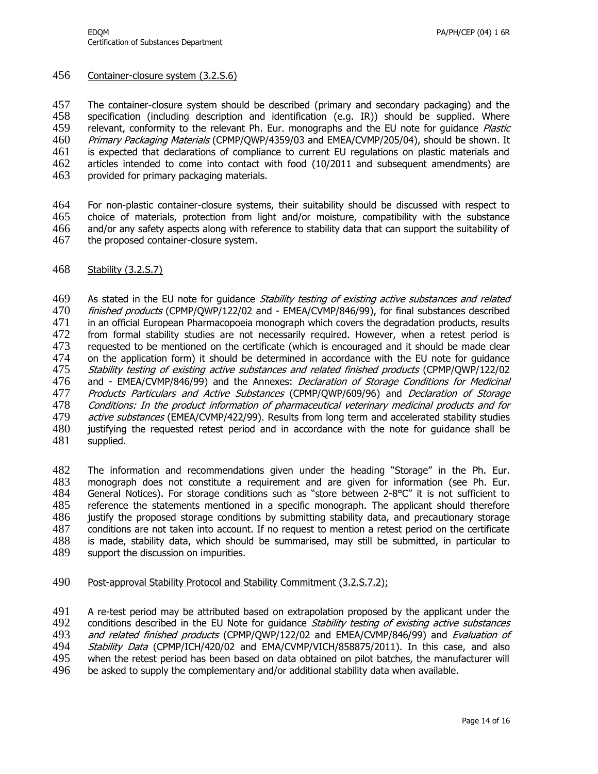#### 456 Container-closure system (3.2.S.6)

457 The container-closure system should be described (primary and secondary packaging) and the 458 specification (including description and identification (e.g. IR)) should be supplied. Where 459 relevant, conformity to the relevant Ph. Eur. monographs and the EU note for quidance *Plastic* 459 relevant, conformity to the relevant Ph. Eur. monographs and the EU note for guidance *Plastic* 460 Primary Packaging Materials (CPMP/QWP/4359/03 and EMEA/CVMP/205/04), should be shown. It 460 Primary Packaging Materials (CPMP/QWP/4359/03 and EMEA/CVMP/205/04), should be shown. It 461 is expected that declarations of compliance to current EU regulations on plastic materials and 461 is expected that declarations of compliance to current EU regulations on plastic materials and 462 articles intended to come into contact with food (10/2011 and subsequent amendments) are articles intended to come into contact with food (10/2011 and subsequent amendments) are 463 provided for primary packaging materials.

 For non-plastic container-closure systems, their suitability should be discussed with respect to choice of materials, protection from light and/or moisture, compatibility with the substance and/or any safety aspects along with reference to stability data that can support the suitability of 467 the proposed container-closure system.

468 Stability (3.2.S.7)

469 As stated in the EU note for quidance *Stability testing of existing active substances and related* 470 finished products (CPMP/QWP/122/02 and - EMEA/CVMP/846/99), for final substances described 471 in an official European Pharmacopoeia monograph which covers the degradation products, results<br>472 from formal stability studies are not necessarily reguired. However, when a retest period is from formal stability studies are not necessarily required. However, when a retest period is 473 requested to be mentioned on the certificate (which is encouraged and it should be made clear 474 on the application form) it should be determined in accordance with the EU note for quidance 475 Stability testing of existing active substances and related finished products (CPMP/QWP/122/02 476 and - EMEA/CVMP/846/99) and the Annexes: *Declaration of Storage Conditions for Medicinal* 477 Products Particulars and Active Substances (CPMP/QWP/609/96) and Declaration of Storage 478 Conditions: In the product information of pharmaceutical veterinary medicinal products and for<br>479 active substances (EMEA/CVMP/422/99). Results from long term and accelerated stability studies active substances (EMEA/CVMP/422/99). Results from long term and accelerated stability studies 480 justifying the requested retest period and in accordance with the note for guidance shall be 481 supplied. supplied.

482 The information and recommendations given under the heading "Storage" in the Ph. Eur.<br>483 monograph does not constitute a requirement and are given for information (see Ph. Eur. monograph does not constitute a requirement and are given for information (see Ph. Eur. 484 General Notices). For storage conditions such as "store between 2-8°C" it is not sufficient to reference the statements mentioned in a specific monograph. The applicant should therefore justify the proposed storage conditions by submitting stability data, and precautionary storage conditions are not taken into account. If no request to mention a retest period on the certificate is made, stability data, which should be summarised, may still be submitted, in particular to support the discussion on impurities.

490 Post-approval Stability Protocol and Stability Commitment (3.2.S.7.2);

491 A re-test period may be attributed based on extrapolation proposed by the applicant under the 492 conditions described in the EU Note for quidance *Stability testing of existing active substances* 492 conditions described in the EU Note for guidance *Stability testing of existing active substances*<br>493 and related finished products (CPMP/OWP/122/02 and EMEA/CVMP/846/99) and *Evaluation of* 493 and related finished products (CPMP/QWP/122/02 and EMEA/CVMP/846/99) and Evaluation of 494 ASS 404 also 449<br>494 Stability Data (CPMP/ICH/420/02 and EMA/CVMP/VICH/858875/2011). In this case, and also Stability Data (CPMP/ICH/420/02 and EMA/CVMP/VICH/858875/2011). In this case, and also 495 when the retest period has been based on data obtained on pilot batches, the manufacturer will 496 be asked to supply the complementary and/or additional stability data when available.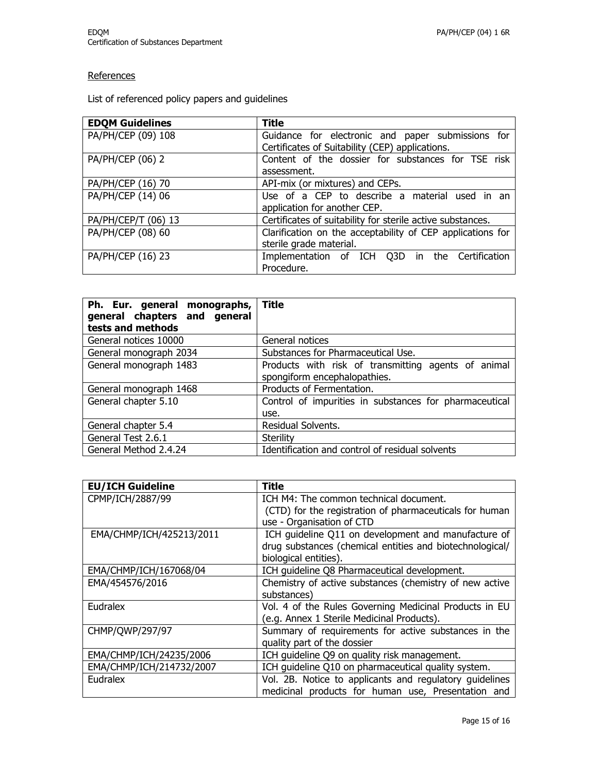## **References**

List of referenced policy papers and guidelines

| <b>EDQM Guidelines</b> | <b>Title</b>                                               |
|------------------------|------------------------------------------------------------|
| PA/PH/CEP (09) 108     | Guidance for electronic and paper submissions for          |
|                        | Certificates of Suitability (CEP) applications.            |
| PA/PH/CEP (06) 2       | Content of the dossier for substances for TSE risk         |
|                        | assessment.                                                |
| PA/PH/CEP (16) 70      | API-mix (or mixtures) and CEPs.                            |
| PA/PH/CEP (14) 06      | Use of a CEP to describe a material used in an             |
|                        | application for another CEP.                               |
| PA/PH/CEP/T (06) 13    | Certificates of suitability for sterile active substances. |
| PA/PH/CEP (08) 60      | Clarification on the acceptability of CEP applications for |
|                        | sterile grade material.                                    |
| PA/PH/CEP (16) 23      | Implementation of ICH Q3D in the Certification             |
|                        | Procedure.                                                 |

| Ph. Eur. general monographs,<br>general chapters and general<br>tests and methods | Title                                                                               |
|-----------------------------------------------------------------------------------|-------------------------------------------------------------------------------------|
| General notices 10000                                                             | General notices                                                                     |
| General monograph 2034                                                            | Substances for Pharmaceutical Use.                                                  |
| General monograph 1483                                                            | Products with risk of transmitting agents of animal<br>spongiform encephalopathies. |
| General monograph 1468                                                            | Products of Fermentation.                                                           |
| General chapter 5.10                                                              | Control of impurities in substances for pharmaceutical<br>use.                      |
| General chapter 5.4                                                               | Residual Solvents.                                                                  |
| General Test 2.6.1                                                                | Sterility                                                                           |
| General Method 2.4.24                                                             | Identification and control of residual solvents                                     |

| <b>EU/ICH Guideline</b>  | <b>Title</b>                                             |
|--------------------------|----------------------------------------------------------|
| CPMP/ICH/2887/99         | ICH M4: The common technical document.                   |
|                          | (CTD) for the registration of pharmaceuticals for human  |
|                          | use - Organisation of CTD                                |
| EMA/CHMP/ICH/425213/2011 | ICH guideline Q11 on development and manufacture of      |
|                          | drug substances (chemical entities and biotechnological/ |
|                          | biological entities).                                    |
| EMA/CHMP/ICH/167068/04   | ICH quideline Q8 Pharmaceutical development.             |
| EMA/454576/2016          | Chemistry of active substances (chemistry of new active  |
|                          | substances)                                              |
| Eudralex                 | Vol. 4 of the Rules Governing Medicinal Products in EU   |
|                          | (e.g. Annex 1 Sterile Medicinal Products).               |
| CHMP/QWP/297/97          | Summary of requirements for active substances in the     |
|                          | quality part of the dossier                              |
| EMA/CHMP/ICH/24235/2006  | ICH guideline Q9 on quality risk management.             |
| EMA/CHMP/ICH/214732/2007 | ICH guideline Q10 on pharmaceutical quality system.      |
| Eudralex                 | Vol. 2B. Notice to applicants and regulatory guidelines  |
|                          | medicinal products for human use, Presentation and       |